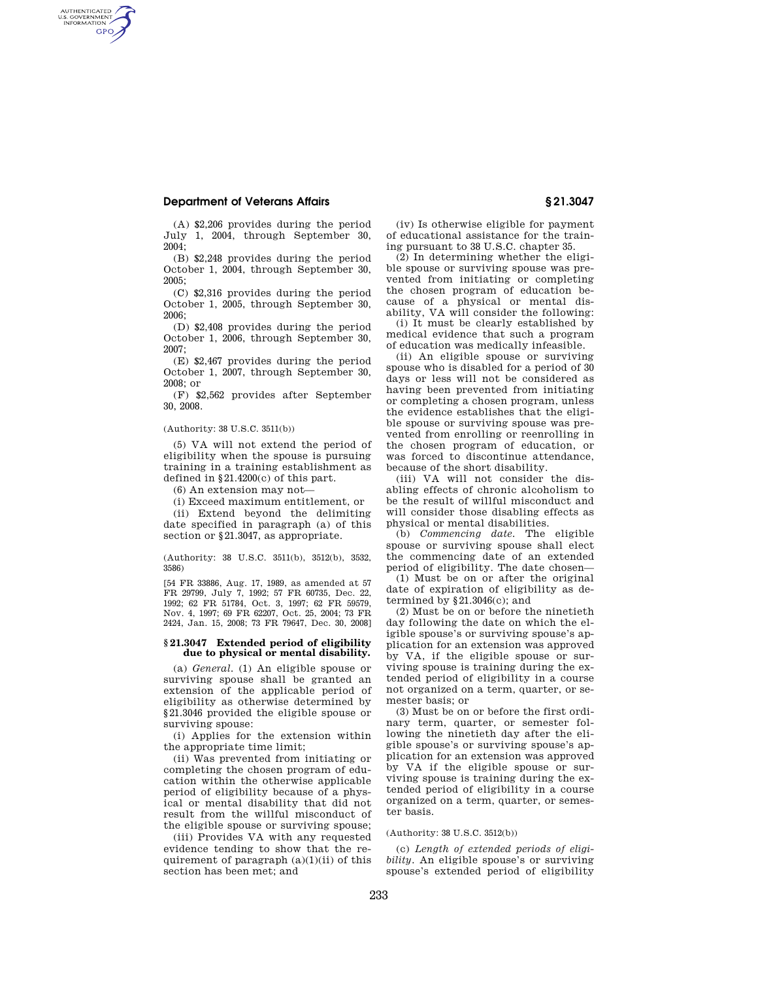# **Department of Veterans Affairs § 21.3047**

AUTHENTICATED<br>U.S. GOVERNMENT<br>INFORMATION **GPO** 

(A) \$2,206 provides during the period July 1, 2004, through September 30,  $2004 \cdot$ 

(B) \$2,248 provides during the period October 1, 2004, through September 30, 2005;

(C) \$2,316 provides during the period October 1, 2005, through September 30, 2006;

(D) \$2,408 provides during the period October 1, 2006, through September 30, 2007;

(E) \$2,467 provides during the period October 1, 2007, through September 30, 2008; or

(F) \$2,562 provides after September 30, 2008.

## (Authority: 38 U.S.C. 3511(b))

(5) VA will not extend the period of eligibility when the spouse is pursuing training in a training establishment as defined in  $\S 21.4200(c)$  of this part.

 $(6)$  An extension may not-

(i) Exceed maximum entitlement, or

(ii) Extend beyond the delimiting date specified in paragraph (a) of this section or §21.3047, as appropriate.

(Authority: 38 U.S.C. 3511(b), 3512(b), 3532, 3586)

[54 FR 33886, Aug. 17, 1989, as amended at 57 FR 29799, July 7, 1992; 57 FR 60735, Dec. 22, 1992; 62 FR 51784, Oct. 3, 1997; 62 FR 59579, Nov. 4, 1997; 69 FR 62207, Oct. 25, 2004; 73 FR 2424, Jan. 15, 2008; 73 FR 79647, Dec. 30, 2008]

#### **§ 21.3047 Extended period of eligibility due to physical or mental disability.**

(a) *General.* (1) An eligible spouse or surviving spouse shall be granted an extension of the applicable period of eligibility as otherwise determined by §21.3046 provided the eligible spouse or surviving spouse:

(i) Applies for the extension within the appropriate time limit;

(ii) Was prevented from initiating or completing the chosen program of education within the otherwise applicable period of eligibility because of a physical or mental disability that did not result from the willful misconduct of the eligible spouse or surviving spouse;

(iii) Provides VA with any requested evidence tending to show that the requirement of paragraph  $(a)(1)(ii)$  of this section has been met; and

(iv) Is otherwise eligible for payment of educational assistance for the training pursuant to 38 U.S.C. chapter 35.

(2) In determining whether the eligible spouse or surviving spouse was prevented from initiating or completing the chosen program of education because of a physical or mental disability, VA will consider the following:

(i) It must be clearly established by medical evidence that such a program of education was medically infeasible.

(ii) An eligible spouse or surviving spouse who is disabled for a period of 30 days or less will not be considered as having been prevented from initiating or completing a chosen program, unless the evidence establishes that the eligible spouse or surviving spouse was prevented from enrolling or reenrolling in the chosen program of education, or was forced to discontinue attendance, because of the short disability.

(iii) VA will not consider the disabling effects of chronic alcoholism to be the result of willful misconduct and will consider those disabling effects as physical or mental disabilities.

(b) *Commencing date.* The eligible spouse or surviving spouse shall elect the commencing date of an extended period of eligibility. The date chosen—

(1) Must be on or after the original date of expiration of eligibility as determined by §21.3046(c); and

(2) Must be on or before the ninetieth day following the date on which the eligible spouse's or surviving spouse's application for an extension was approved by VA, if the eligible spouse or surviving spouse is training during the extended period of eligibility in a course not organized on a term, quarter, or semester basis; or

(3) Must be on or before the first ordinary term, quarter, or semester following the ninetieth day after the eligible spouse's or surviving spouse's application for an extension was approved by VA if the eligible spouse or surviving spouse is training during the extended period of eligibility in a course organized on a term, quarter, or semester basis.

(Authority: 38 U.S.C. 3512(b))

(c) *Length of extended periods of eligibility.* An eligible spouse's or surviving spouse's extended period of eligibility